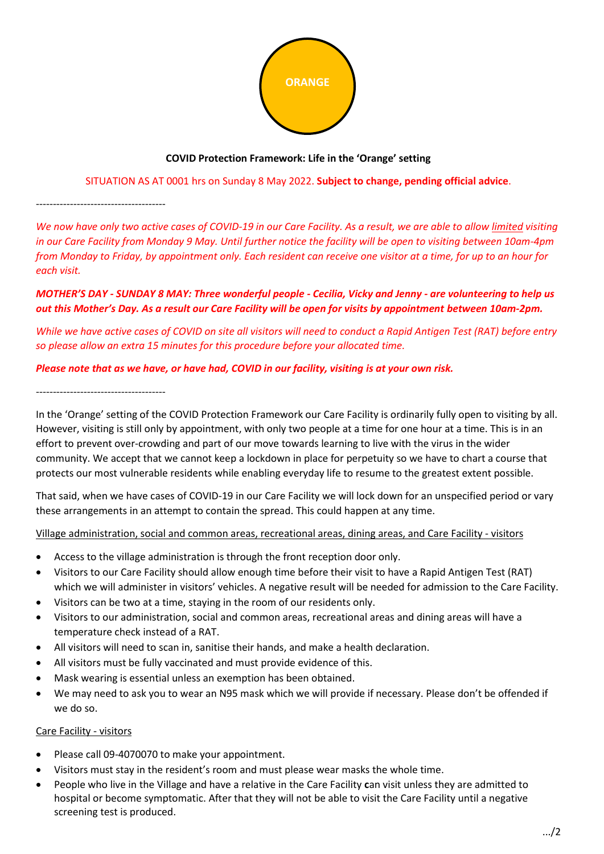

# **COVID Protection Framework: Life in the 'Orange' setting**

# SITUATION AS AT 0001 hrs on Sunday 8 May 2022. **Subject to change, pending official advice**.

--------------------------------------

*We now have only two active cases of COVID-19 in our Care Facility. As a result, we are able to allow limited visiting in our Care Facility from Monday 9 May. Until further notice the facility will be open to visiting between 10am-4pm from Monday to Friday, by appointment only. Each resident can receive one visitor at a time, for up to an hour for each visit.*

# *MOTHER'S DAY - SUNDAY 8 MAY: Three wonderful people - Cecilia, Vicky and Jenny - are volunteering to help us out this Mother's Day. As a result our Care Facility will be open for visits by appointment between 10am-2pm.*

*While we have active cases of COVID on site all visitors will need to conduct a Rapid Antigen Test (RAT) before entry so please allow an extra 15 minutes for this procedure before your allocated time.*

# *Please note that as we have, or have had, COVID in our facility, visiting is at your own risk.*

# --------------------------------------

In the 'Orange' setting of the COVID Protection Framework our Care Facility is ordinarily fully open to visiting by all. However, visiting is still only by appointment, with only two people at a time for one hour at a time. This is in an effort to prevent over-crowding and part of our move towards learning to live with the virus in the wider community. We accept that we cannot keep a lockdown in place for perpetuity so we have to chart a course that protects our most vulnerable residents while enabling everyday life to resume to the greatest extent possible.

That said, when we have cases of COVID-19 in our Care Facility we will lock down for an unspecified period or vary these arrangements in an attempt to contain the spread. This could happen at any time.

# Village administration, social and common areas, recreational areas, dining areas, and Care Facility - visitors

- Access to the village administration is through the front reception door only.
- Visitors to our Care Facility should allow enough time before their visit to have a Rapid Antigen Test (RAT) which we will administer in visitors' vehicles. A negative result will be needed for admission to the Care Facility.
- Visitors can be two at a time, staying in the room of our residents only.
- Visitors to our administration, social and common areas, recreational areas and dining areas will have a temperature check instead of a RAT.
- All visitors will need to scan in, sanitise their hands, and make a health declaration.
- All visitors must be fully vaccinated and must provide evidence of this.
- Mask wearing is essential unless an exemption has been obtained.
- We may need to ask you to wear an N95 mask which we will provide if necessary. Please don't be offended if we do so.

## Care Facility - visitors

- Please call 09-4070070 to make your appointment.
- Visitors must stay in the resident's room and must please wear masks the whole time.
- People who live in the Village and have a relative in the Care Facility **c**an visit unless they are admitted to hospital or become symptomatic. After that they will not be able to visit the Care Facility until a negative screening test is produced.